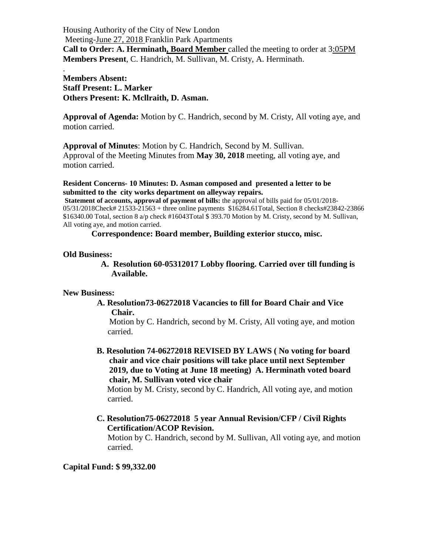Housing Authority of the City of New London Meeting-June 27, 2018 Franklin Park Apartments **Call to Order: A. Herminath, Board Member** called the meeting to order at 3:05PM **Members Present**, C. Handrich, M. Sullivan, M. Cristy, A. Herminath.

**Members Absent: Staff Present: L. Marker Others Present: K. Mcllraith, D. Asman.**

**Approval of Agenda:** Motion by C. Handrich, second by M. Cristy, All voting aye, and motion carried.

**Approval of Minutes**: Motion by C. Handrich, Second by M. Sullivan.

Approval of the Meeting Minutes from **May 30, 2018** meeting, all voting aye, and motion carried.

**Resident Concerns- 10 Minutes: D. Asman composed and presented a letter to be submitted to the city works department on alleyway repairs.**

**Statement of accounts, approval of payment of bills:** the approval of bills paid for 05/01/2018-05/31/2018Check# 21533-21563 + three online payments \$16284.61Total, Section 8 checks#23842-23866 \$16340.00 Total, section 8 a/p check #16043Total \$ 393.70 Motion by M. Cristy, second by M. Sullivan, All voting aye, and motion carried.

**Correspondence: Board member, Building exterior stucco, misc.**

## **Old Business:**

.

 **A. Resolution 60-05312017 Lobby flooring. Carried over till funding is Available.**

## **New Business:**

 **A. Resolution73-06272018 Vacancies to fill for Board Chair and Vice Chair.** 

Motion by C. Handrich, second by M. Cristy, All voting aye, and motion carried.

 **B. Resolution 74-06272018 REVISED BY LAWS ( No voting for board chair and vice chair positions will take place until next September 2019, due to Voting at June 18 meeting) A. Herminath voted board chair, M. Sullivan voted vice chair** 

Motion by M. Cristy, second by C. Handrich, All voting aye, and motion carried.

 **C. Resolution75-06272018 5 year Annual Revision/CFP / Civil Rights Certification/ACOP Revision.**

Motion by C. Handrich, second by M. Sullivan, All voting aye, and motion carried.

**Capital Fund: \$ 99,332.00**